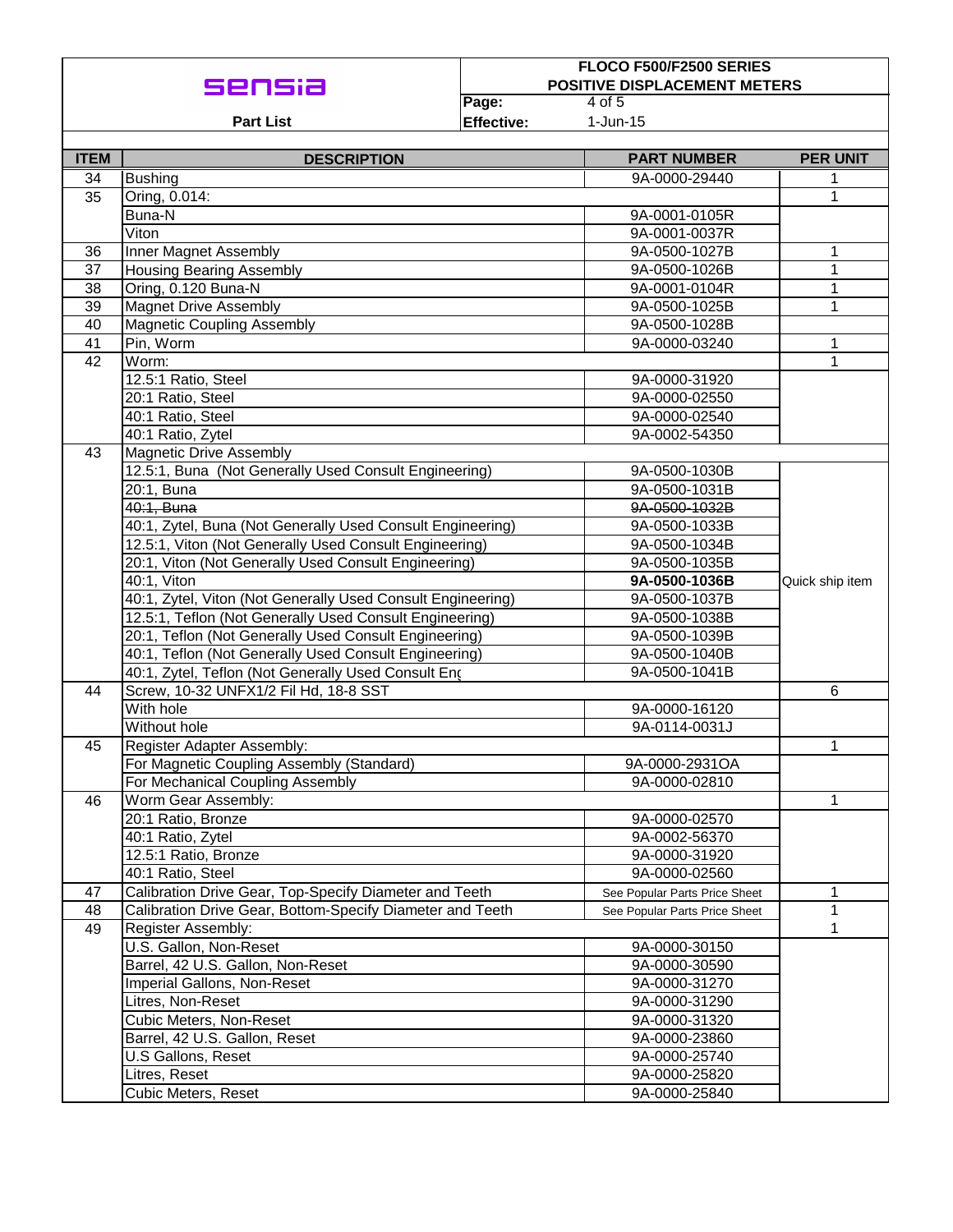|             |                                                             | FLOCO F500/F2500 SERIES |                                               |                 |  |  |  |
|-------------|-------------------------------------------------------------|-------------------------|-----------------------------------------------|-----------------|--|--|--|
|             |                                                             |                         | <b>POSITIVE DISPLACEMENT METERS</b><br>4 of 5 |                 |  |  |  |
|             |                                                             | Page:                   |                                               |                 |  |  |  |
|             | <b>Part List</b>                                            | <b>Effective:</b>       | $1$ -Jun-15                                   |                 |  |  |  |
| <b>ITEM</b> | <b>DESCRIPTION</b>                                          |                         | <b>PART NUMBER</b>                            | <b>PER UNIT</b> |  |  |  |
| 34          | <b>Bushing</b>                                              | 9A-0000-29440           |                                               |                 |  |  |  |
| 35          | Oring, 0.014:                                               |                         | 1<br>1                                        |                 |  |  |  |
|             | Buna-N                                                      | 9A-0001-0105R           |                                               |                 |  |  |  |
|             | Viton                                                       | 9A-0001-0037R           |                                               |                 |  |  |  |
| 36          | Inner Magnet Assembly                                       | 9A-0500-1027B           | 1                                             |                 |  |  |  |
| 37          | <b>Housing Bearing Assembly</b>                             | 9A-0500-1026B           | 1                                             |                 |  |  |  |
| 38          | Oring, 0.120 Buna-N                                         | 9A-0001-0104R           | 1                                             |                 |  |  |  |
| 39          | <b>Magnet Drive Assembly</b>                                | 9A-0500-1025B           | 1                                             |                 |  |  |  |
| 40          | <b>Magnetic Coupling Assembly</b>                           | 9A-0500-1028B           |                                               |                 |  |  |  |
| 41          | Pin, Worm                                                   | 9A-0000-03240           | 1                                             |                 |  |  |  |
| 42          | Worm:                                                       |                         | 1                                             |                 |  |  |  |
|             | 12.5:1 Ratio, Steel                                         |                         | 9A-0000-31920                                 |                 |  |  |  |
|             | 20:1 Ratio, Steel                                           |                         | 9A-0000-02550                                 |                 |  |  |  |
|             | 40:1 Ratio, Steel                                           |                         | 9A-0000-02540                                 |                 |  |  |  |
|             | 40:1 Ratio, Zytel                                           |                         | 9A-0002-54350                                 |                 |  |  |  |
| 43          | <b>Magnetic Drive Assembly</b>                              |                         |                                               |                 |  |  |  |
|             | 12.5:1, Buna (Not Generally Used Consult Engineering)       |                         | 9A-0500-1030B                                 |                 |  |  |  |
|             | 20:1, Buna                                                  |                         | 9A-0500-1031B                                 |                 |  |  |  |
|             | 40:1. Buna                                                  |                         | 9A-0500-1032B                                 |                 |  |  |  |
|             | 40:1, Zytel, Buna (Not Generally Used Consult Engineering)  |                         | 9A-0500-1033B                                 |                 |  |  |  |
|             | 12.5:1, Viton (Not Generally Used Consult Engineering)      |                         | 9A-0500-1034B                                 |                 |  |  |  |
|             | 20:1, Viton (Not Generally Used Consult Engineering)        |                         | 9A-0500-1035B                                 |                 |  |  |  |
|             | 40:1, Viton                                                 |                         | 9A-0500-1036B                                 | Quick ship item |  |  |  |
|             | 40:1, Zytel, Viton (Not Generally Used Consult Engineering) |                         | 9A-0500-1037B                                 |                 |  |  |  |
|             | 12.5:1, Teflon (Not Generally Used Consult Engineering)     |                         | 9A-0500-1038B                                 |                 |  |  |  |
|             | 20:1, Teflon (Not Generally Used Consult Engineering)       |                         | 9A-0500-1039B                                 |                 |  |  |  |
|             | 40:1, Teflon (Not Generally Used Consult Engineering)       |                         | 9A-0500-1040B                                 |                 |  |  |  |
|             | 40:1, Zytel, Teflon (Not Generally Used Consult Eng         |                         | 9A-0500-1041B                                 |                 |  |  |  |
| 44          | Screw, 10-32 UNFX1/2 Fil Hd, 18-8 SST                       |                         |                                               | 6               |  |  |  |
|             | With hole                                                   |                         | 9A-0000-16120                                 |                 |  |  |  |
|             | Without hole                                                |                         | 9A-0114-0031J                                 |                 |  |  |  |
| 45          | Register Adapter Assembly:                                  |                         | 1                                             |                 |  |  |  |
|             | For Magnetic Coupling Assembly (Standard)                   |                         | 9A-0000-2931OA                                |                 |  |  |  |
|             | For Mechanical Coupling Assembly                            |                         | 9A-0000-02810                                 |                 |  |  |  |
| 46          | Worm Gear Assembly:                                         |                         | 1                                             |                 |  |  |  |
|             | 20:1 Ratio, Bronze                                          |                         | 9A-0000-02570                                 |                 |  |  |  |
|             | 40:1 Ratio, Zytel                                           |                         | 9A-0002-56370                                 |                 |  |  |  |
|             | 12.5:1 Ratio, Bronze                                        |                         | 9A-0000-31920                                 |                 |  |  |  |
|             | 40:1 Ratio, Steel                                           |                         | 9A-0000-02560                                 |                 |  |  |  |
| 47          | Calibration Drive Gear, Top-Specify Diameter and Teeth      |                         | See Popular Parts Price Sheet                 | 1               |  |  |  |
| 48          | Calibration Drive Gear, Bottom-Specify Diameter and Teeth   |                         | See Popular Parts Price Sheet                 | 1               |  |  |  |
| 49          | Register Assembly:                                          |                         |                                               | 1               |  |  |  |
|             | U.S. Gallon, Non-Reset                                      |                         | 9A-0000-30150                                 |                 |  |  |  |
|             | Barrel, 42 U.S. Gallon, Non-Reset                           |                         | 9A-0000-30590                                 |                 |  |  |  |
|             | Imperial Gallons, Non-Reset                                 |                         | 9A-0000-31270                                 |                 |  |  |  |
|             | Litres, Non-Reset                                           |                         | 9A-0000-31290                                 |                 |  |  |  |
|             | Cubic Meters, Non-Reset                                     |                         | 9A-0000-31320                                 |                 |  |  |  |
|             | Barrel, 42 U.S. Gallon, Reset                               |                         | 9A-0000-23860                                 |                 |  |  |  |
|             | U.S Gallons, Reset                                          |                         | 9A-0000-25740                                 |                 |  |  |  |
|             | Litres, Reset                                               | 9A-0000-25820           |                                               |                 |  |  |  |
|             | Cubic Meters, Reset                                         |                         | 9A-0000-25840                                 |                 |  |  |  |